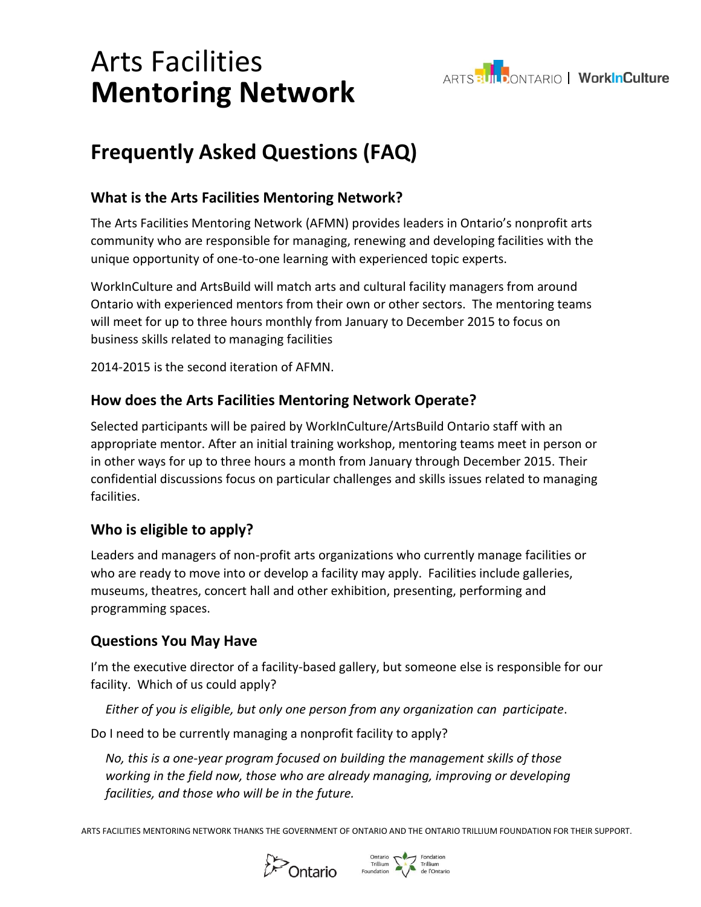### Arts Facilities **Mentoring Network**



### **Frequently Asked Questions (FAQ)**

#### **What is the Arts Facilities Mentoring Network?**

The Arts Facilities Mentoring Network (AFMN) provides leaders in Ontario's nonprofit arts community who are responsible for managing, renewing and developing facilities with the unique opportunity of one-to-one learning with experienced topic experts.

WorkInCulture and ArtsBuild will match arts and cultural facility managers from around Ontario with experienced mentors from their own or other sectors. The mentoring teams will meet for up to three hours monthly from January to December 2015 to focus on business skills related to managing facilities

2014-2015 is the second iteration of AFMN.

#### **How does the Arts Facilities Mentoring Network Operate?**

Selected participants will be paired by WorkInCulture/ArtsBuild Ontario staff with an appropriate mentor. After an initial training workshop, mentoring teams meet in person or in other ways for up to three hours a month from January through December 2015. Their confidential discussions focus on particular challenges and skills issues related to managing facilities.

#### **Who is eligible to apply?**

Leaders and managers of non-profit arts organizations who currently manage facilities or who are ready to move into or develop a facility may apply. Facilities include galleries, museums, theatres, concert hall and other exhibition, presenting, performing and programming spaces.

#### **Questions You May Have**

I'm the executive director of a facility-based gallery, but someone else is responsible for our facility. Which of us could apply?

*Either of you is eligible, but only one person from any organization can participate*.

Do I need to be currently managing a nonprofit facility to apply?

*No, this is a one-year program focused on building the management skills of those working in the field now, those who are already managing, improving or developing facilities, and those who will be in the future.*

ARTS FACILITIES MENTORING NETWORK THANKS THE GOVERNMENT OF ONTARIO AND THE ONTARIO TRILLIUM FOUNDATION FOR THEIR SUPPORT.



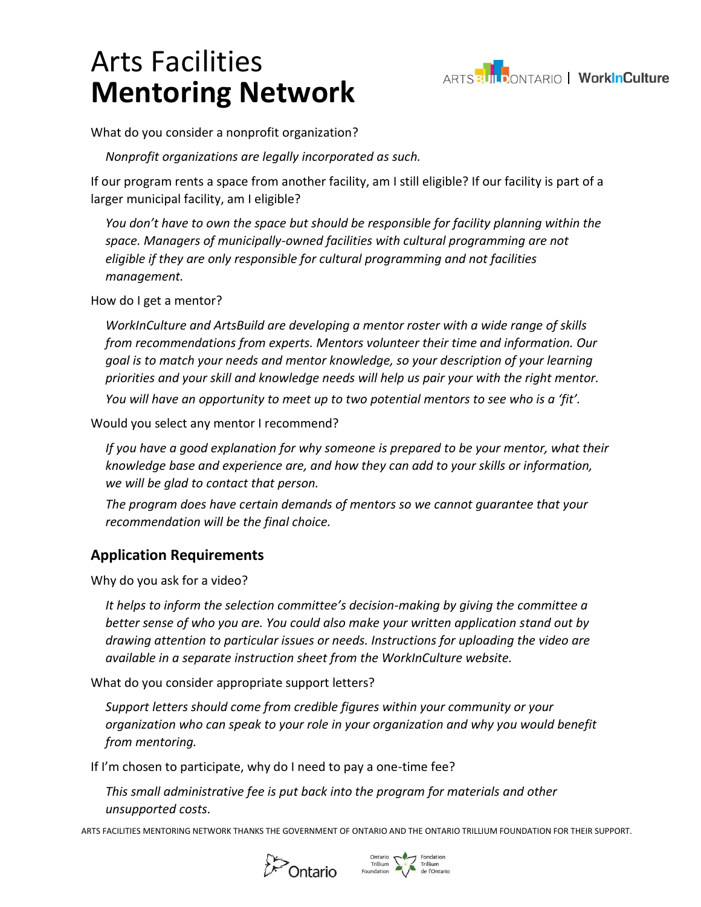# Arts Facilities **Mentoring Network**



What do you consider a nonprofit organization?

*Nonprofit organizations are legally incorporated as such.* 

If our program rents a space from another facility, am I still eligible? If our facility is part of a larger municipal facility, am I eligible?

*You don't have to own the space but should be responsible for facility planning within the space. Managers of municipally-owned facilities with cultural programming are not eligible if they are only responsible for cultural programming and not facilities management.*

How do I get a mentor?

*WorkInCulture and ArtsBuild are developing a mentor roster with a wide range of skills from recommendations from experts. Mentors volunteer their time and information. Our goal is to match your needs and mentor knowledge, so your description of your learning priorities and your skill and knowledge needs will help us pair your with the right mentor.*

*You will have an opportunity to meet up to two potential mentors to see who is a 'fit'.* 

Would you select any mentor I recommend?

*If you have a good explanation for why someone is prepared to be your mentor, what their knowledge base and experience are, and how they can add to your skills or information, we will be glad to contact that person.* 

*The program does have certain demands of mentors so we cannot guarantee that your recommendation will be the final choice.* 

#### **Application Requirements**

Why do you ask for a video?

*It helps to inform the selection committee's decision-making by giving the committee a better sense of who you are. You could also make your written application stand out by drawing attention to particular issues or needs. Instructions for uploading the video are available in a separate instruction sheet from the WorkInCulture website.*

What do you consider appropriate support letters?

*Support letters should come from credible figures within your community or your organization who can speak to your role in your organization and why you would benefit from mentoring.*

If I'm chosen to participate, why do I need to pay a one-time fee?

*This small administrative fee is put back into the program for materials and other unsupported costs.* 

ARTS FACILITIES MENTORING NETWORK THANKS THE GOVERNMENT OF ONTARIO AND THE ONTARIO TRILLIUM FOUNDATION FOR THEIR SUPPORT.